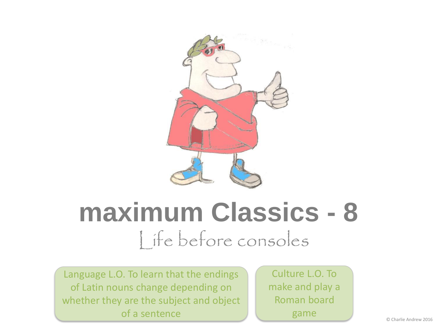

#### **maximum Classics - 8** Life before consoles

Language L.O. To learn that the endings of Latin nouns change depending on whether they are the subject and object of a sentence

Culture L.O. To make and play a Roman board game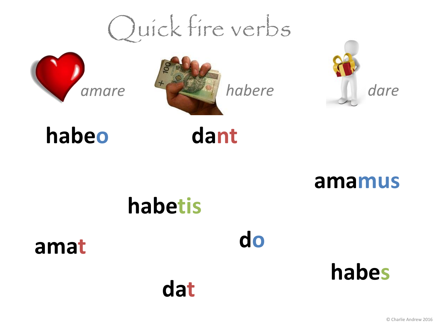### Quick fire verbs







#### **habeo**



**amamus**

#### **habetis**

**dat**

**amat**

**do**

**habes**

© Charlie Andrew 2016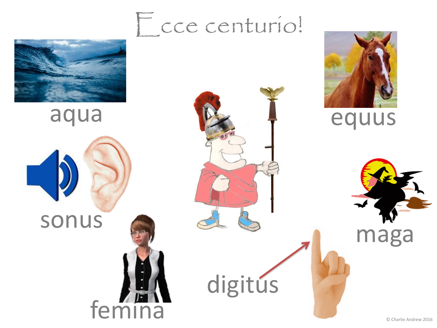

aqua

sonus

femina

#### Ecce centurio!



equus



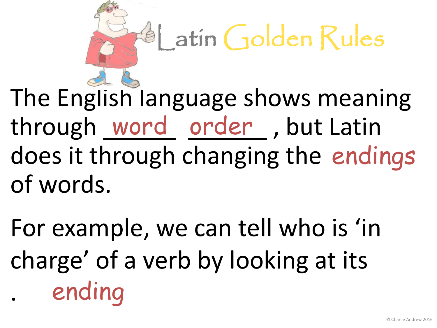# $4$  atin Golden Rules

The English language shows meaning through word order, but Latin does it through changing the endings of words.

ending For example, we can tell who is 'in charge' of a verb by looking at its .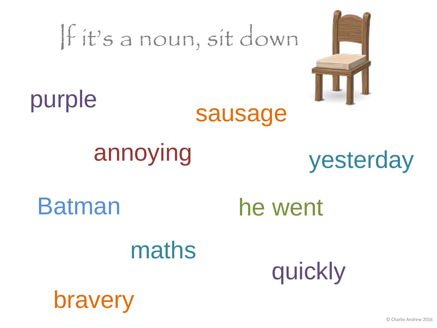# If it's a noun, sit down



#### purple



#### annoying

#### yesterday

bravery

Batman he went

#### maths

quickly

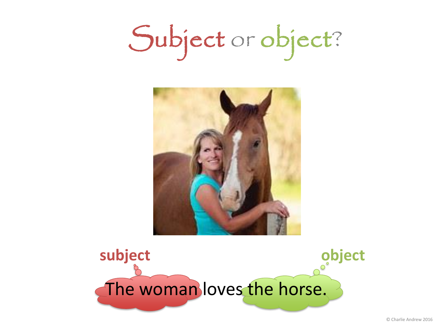Subject or object?



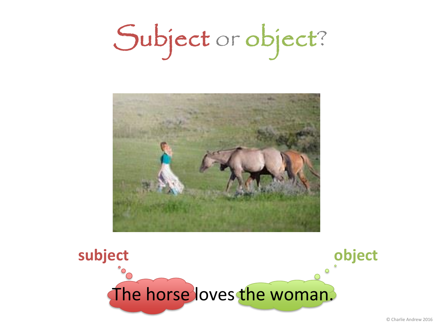Subject or object?



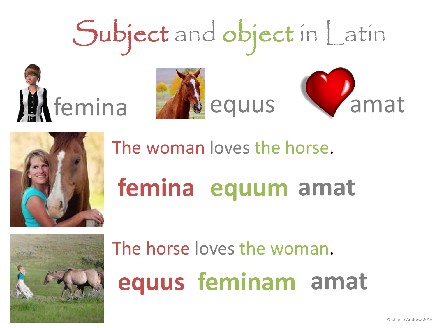# Subject and object in Latin Memina **W**equus Vamat



The woman loves the horse.

## **femina equum amat**



The horse loves the woman. **equus feminam amat**